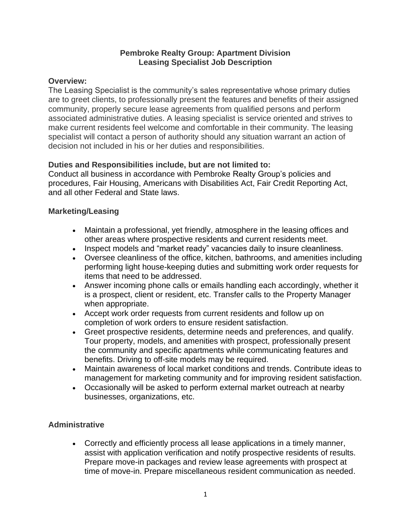### **Pembroke Realty Group: Apartment Division Leasing Specialist Job Description**

#### **Overview:**

The Leasing Specialist is the community's sales representative whose primary duties are to greet clients, to professionally present the features and benefits of their assigned community, properly secure lease agreements from qualified persons and perform associated administrative duties. A leasing specialist is service oriented and strives to make current residents feel welcome and comfortable in their community. The leasing specialist will contact a person of authority should any situation warrant an action of decision not included in his or her duties and responsibilities.

## **Duties and Responsibilities include, but are not limited to:**

Conduct all business in accordance with Pembroke Realty Group's policies and procedures, Fair Housing, Americans with Disabilities Act, Fair Credit Reporting Act, and all other Federal and State laws.

#### **Marketing/Leasing**

- Maintain a professional, yet friendly, atmosphere in the leasing offices and other areas where prospective residents and current residents meet.
- Inspect models and "market ready" vacancies daily to insure cleanliness.
- Oversee cleanliness of the office, kitchen, bathrooms, and amenities including performing light house-keeping duties and submitting work order requests for items that need to be addressed.
- Answer incoming phone calls or emails handling each accordingly, whether it is a prospect, client or resident, etc. Transfer calls to the Property Manager when appropriate.
- Accept work order requests from current residents and follow up on completion of work orders to ensure resident satisfaction.
- Greet prospective residents, determine needs and preferences, and qualify. Tour property, models, and amenities with prospect, professionally present the community and specific apartments while communicating features and benefits. Driving to off-site models may be required.
- Maintain awareness of local market conditions and trends. Contribute ideas to management for marketing community and for improving resident satisfaction.
- Occasionally will be asked to perform external market outreach at nearby businesses, organizations, etc.

### **Administrative**

• Correctly and efficiently process all lease applications in a timely manner, assist with application verification and notify prospective residents of results. Prepare move-in packages and review lease agreements with prospect at time of move-in. Prepare miscellaneous resident communication as needed.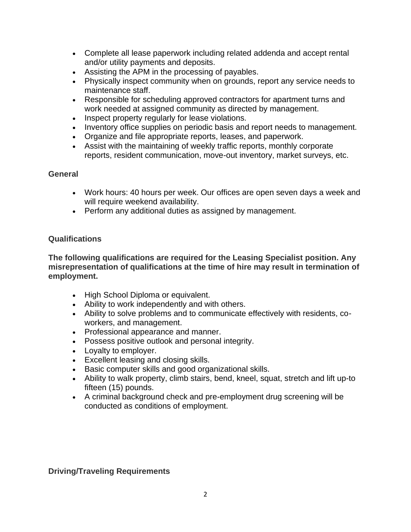- Complete all lease paperwork including related addenda and accept rental and/or utility payments and deposits.
- Assisting the APM in the processing of payables.
- Physically inspect community when on grounds, report any service needs to maintenance staff.
- Responsible for scheduling approved contractors for apartment turns and work needed at assigned community as directed by management.
- Inspect property regularly for lease violations.
- Inventory office supplies on periodic basis and report needs to management.
- Organize and file appropriate reports, leases, and paperwork.
- Assist with the maintaining of weekly traffic reports, monthly corporate reports, resident communication, move-out inventory, market surveys, etc.

## **General**

- Work hours: 40 hours per week. Our offices are open seven days a week and will require weekend availability.
- Perform any additional duties as assigned by management.

## **Qualifications**

**The following qualifications are required for the Leasing Specialist position. Any misrepresentation of qualifications at the time of hire may result in termination of employment.**

- High School Diploma or equivalent.
- Ability to work independently and with others.
- Ability to solve problems and to communicate effectively with residents, coworkers, and management.
- Professional appearance and manner.
- Possess positive outlook and personal integrity.
- Loyalty to employer.
- Excellent leasing and closing skills.
- Basic computer skills and good organizational skills.
- Ability to walk property, climb stairs, bend, kneel, squat, stretch and lift up-to fifteen (15) pounds.
- A criminal background check and pre-employment drug screening will be conducted as conditions of employment.

### **Driving/Traveling Requirements**